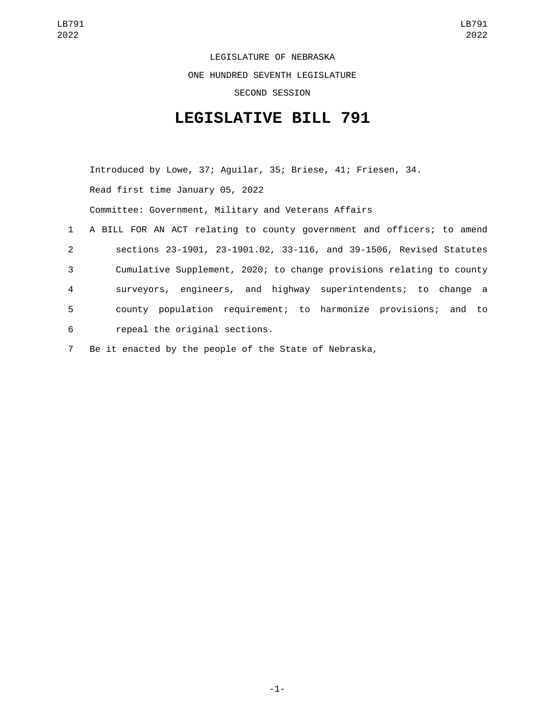LEGISLATURE OF NEBRASKA ONE HUNDRED SEVENTH LEGISLATURE SECOND SESSION

## **LEGISLATIVE BILL 791**

Introduced by Lowe, 37; Aguilar, 35; Briese, 41; Friesen, 34. Read first time January 05, 2022 Committee: Government, Military and Veterans Affairs 1 A BILL FOR AN ACT relating to county government and officers; to amend 2 sections 23-1901, 23-1901.02, 33-116, and 39-1506, Revised Statutes 3 Cumulative Supplement, 2020; to change provisions relating to county 4 surveyors, engineers, and highway superintendents; to change a 5 county population requirement; to harmonize provisions; and to 6 repeal the original sections.

7 Be it enacted by the people of the State of Nebraska,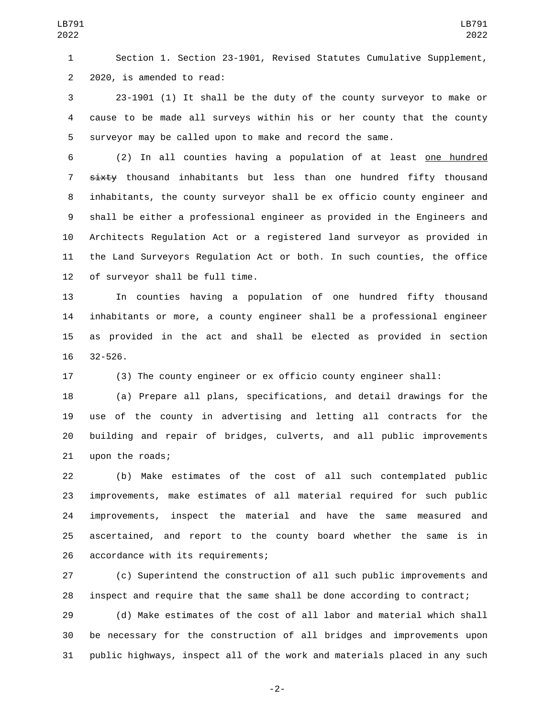Section 1. Section 23-1901, Revised Statutes Cumulative Supplement, 2 2020, is amended to read:

 23-1901 (1) It shall be the duty of the county surveyor to make or cause to be made all surveys within his or her county that the county surveyor may be called upon to make and record the same.

 (2) In all counties having a population of at least one hundred 7 sixty thousand inhabitants but less than one hundred fifty thousand inhabitants, the county surveyor shall be ex officio county engineer and shall be either a professional engineer as provided in the Engineers and Architects Regulation Act or a registered land surveyor as provided in the Land Surveyors Regulation Act or both. In such counties, the office 12 of surveyor shall be full time.

 In counties having a population of one hundred fifty thousand inhabitants or more, a county engineer shall be a professional engineer as provided in the act and shall be elected as provided in section  $32 - 526$ .

(3) The county engineer or ex officio county engineer shall:

 (a) Prepare all plans, specifications, and detail drawings for the use of the county in advertising and letting all contracts for the building and repair of bridges, culverts, and all public improvements 21 upon the roads;

 (b) Make estimates of the cost of all such contemplated public improvements, make estimates of all material required for such public improvements, inspect the material and have the same measured and ascertained, and report to the county board whether the same is in 26 accordance with its requirements;

 (c) Superintend the construction of all such public improvements and inspect and require that the same shall be done according to contract;

 (d) Make estimates of the cost of all labor and material which shall be necessary for the construction of all bridges and improvements upon public highways, inspect all of the work and materials placed in any such

-2-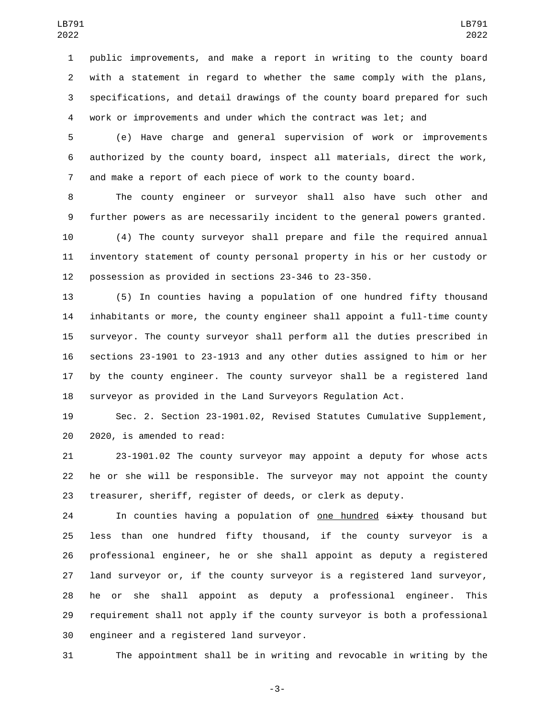public improvements, and make a report in writing to the county board with a statement in regard to whether the same comply with the plans, specifications, and detail drawings of the county board prepared for such work or improvements and under which the contract was let; and

 (e) Have charge and general supervision of work or improvements authorized by the county board, inspect all materials, direct the work, and make a report of each piece of work to the county board.

 The county engineer or surveyor shall also have such other and further powers as are necessarily incident to the general powers granted.

 (4) The county surveyor shall prepare and file the required annual inventory statement of county personal property in his or her custody or possession as provided in sections 23-346 to 23-350.

 (5) In counties having a population of one hundred fifty thousand inhabitants or more, the county engineer shall appoint a full-time county surveyor. The county surveyor shall perform all the duties prescribed in sections 23-1901 to 23-1913 and any other duties assigned to him or her by the county engineer. The county surveyor shall be a registered land surveyor as provided in the Land Surveyors Regulation Act.

 Sec. 2. Section 23-1901.02, Revised Statutes Cumulative Supplement, 20 2020, is amended to read:

 23-1901.02 The county surveyor may appoint a deputy for whose acts he or she will be responsible. The surveyor may not appoint the county treasurer, sheriff, register of deeds, or clerk as deputy.

24 In counties having a population of one hundred sixty thousand but less than one hundred fifty thousand, if the county surveyor is a professional engineer, he or she shall appoint as deputy a registered land surveyor or, if the county surveyor is a registered land surveyor, he or she shall appoint as deputy a professional engineer. This requirement shall not apply if the county surveyor is both a professional 30 engineer and a registered land surveyor.

The appointment shall be in writing and revocable in writing by the

-3-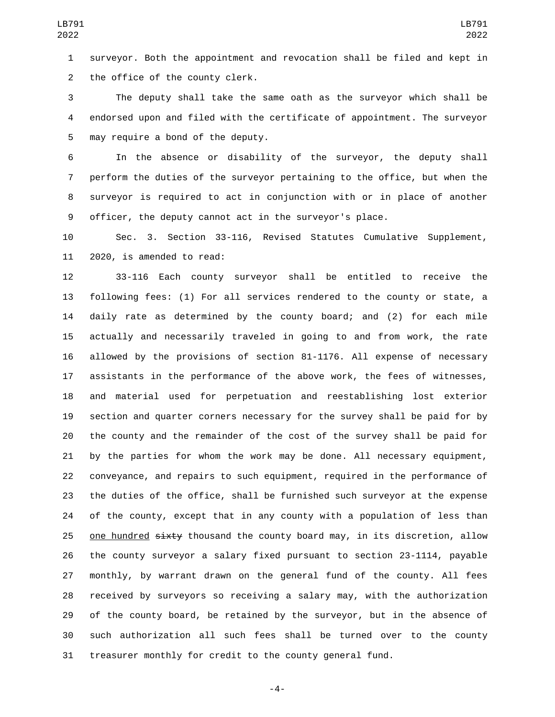surveyor. Both the appointment and revocation shall be filed and kept in 2 the office of the county clerk.

 The deputy shall take the same oath as the surveyor which shall be endorsed upon and filed with the certificate of appointment. The surveyor 5 may require a bond of the deputy.

 In the absence or disability of the surveyor, the deputy shall perform the duties of the surveyor pertaining to the office, but when the surveyor is required to act in conjunction with or in place of another officer, the deputy cannot act in the surveyor's place.

 Sec. 3. Section 33-116, Revised Statutes Cumulative Supplement, 11 2020, is amended to read:

 33-116 Each county surveyor shall be entitled to receive the following fees: (1) For all services rendered to the county or state, a daily rate as determined by the county board; and (2) for each mile actually and necessarily traveled in going to and from work, the rate allowed by the provisions of section 81-1176. All expense of necessary assistants in the performance of the above work, the fees of witnesses, and material used for perpetuation and reestablishing lost exterior section and quarter corners necessary for the survey shall be paid for by the county and the remainder of the cost of the survey shall be paid for by the parties for whom the work may be done. All necessary equipment, conveyance, and repairs to such equipment, required in the performance of the duties of the office, shall be furnished such surveyor at the expense of the county, except that in any county with a population of less than 25 one hundred sixty thousand the county board may, in its discretion, allow the county surveyor a salary fixed pursuant to section 23-1114, payable monthly, by warrant drawn on the general fund of the county. All fees received by surveyors so receiving a salary may, with the authorization of the county board, be retained by the surveyor, but in the absence of such authorization all such fees shall be turned over to the county treasurer monthly for credit to the county general fund.

-4-